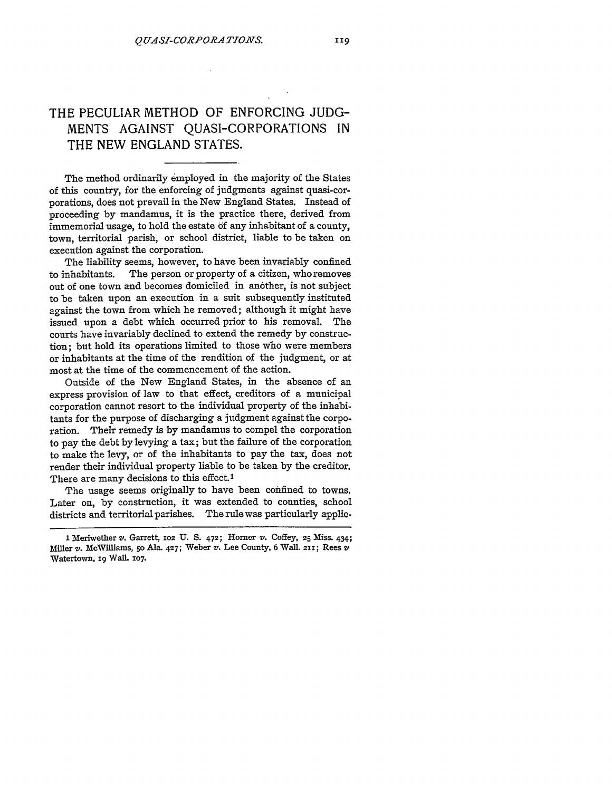## THE PECULIAR METHOD OF ENFORCING JUDG-MENTS AGAINST QUASI-CORPORATIONS IN THE **NEW ENGLAND STATES.**

The method ordinarily employed in the majority of the States of this country, for the enforcing of judgments against quasi-corporations, does not prevail in the New England States. Instead of proceeding by mandamus, it is the practice there, derived from immemorial usage, to hold the estate **of** any inhabitant of a county, town, territorial parish, or school district, liable to be taken on execution against the corporation.

The liability seems, however, to have been invariably confined to inhabitants. The person or property of a citizen, who removes out of one town and becomes domiciled in another, is not subject to be taken upon an execution in a suit subsequently instituted against the town from which he removed; although it might have issued upon a debt which occurred prior to his removal. The courts have invariably declined to extend the remedy by construction; but hold its operations limited to those who were members or inhabitants at the time of the rendition of the judgment, or at most at the time of the commencement of the action.

Outside of the New England States, in the absence of an express provision of law to that effect, creditors of a municipal corporation cannot resort to the individual property of the inhabitants for the purpose of discharging a judgment against the corporation. Their remedy is by mandamus to compel the corporation to pay the debt by levying a tax; but the failure of the corporation to make the levy, or of the inhabitants to pay the tax, does not render their individual property liable to be taken by the creditor. There are many decisions to this effect.<sup>1</sup>

The usage seems originally to have been confined to towns. Later on, by construction, it was extended to counties, school districts and territorial parishes. The rule was particularly applic-

**<sup>1</sup>** Meriwether v. Garrett, **1o2 U. S. 472;** Homer v. Coffey, **25** Miss. 434; Miller v. McWilliams, **50** Ala. 427; Weber v. Lee County, 6 Wall. **211;** Rees v Watertown, xg Wall. io7.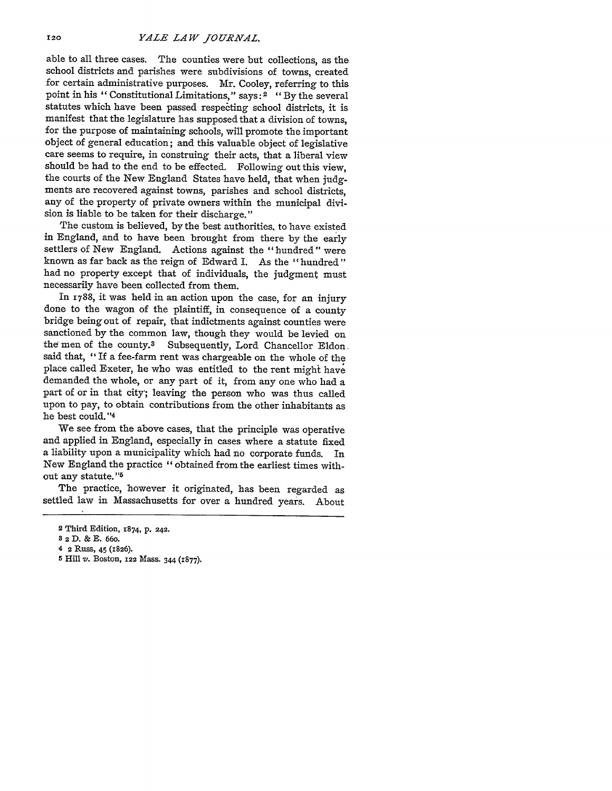able to all three cases. The counties were but collections, as the school districts and parishes were subdivisions of towns, created for certain administrative purposes. Mr. Cooley, referring to this point in his "Constitutional Limitations," says:<sup>2</sup> "By the several statutes which have been passed respecting school districts, it is manifest that the legislature has supposed that a division of towns, for the purpose of maintaining schools, will promote the important object of general education; and this valuable object of legislative care seems to require, in construing their acts, that a liberal view should be had to the end to be effected. Following out this view, the courts of the New England States have held, that when judgments are recovered against towns, parishes and school districts, any of the property of private owners within the municipal division is liable to be taken for their discharge."

The custom is believed, by the best authorities, to have existed in England, and to have been brought from there by the early settlers of New England. Actions against the "hundred" were known as far back as the reign of Edward I. As the "hundred" had no property except that of individuals, the judgment must necessarily have been collected from them.

In 1788, it was held in an action upon the case, for an injury done to the wagon of the plaintiff, in consequence of a county bridge being out of repair, that indictments against counties were sanctioned by the common law, though they would be levied on the men of the county.3 Subsequently, Lord Chancellor Eldon. said that, "If a fee-farm rent was chargeable on the whole of the place called Exeter, he who was entitled to the rent might have demanded the whole, or any part of it, from any one who had a part of or in that city'; leaving the person who was thus called upon to pay, to obtain contributions from the other inhabitants as he best could. **"4**

We see from the above cases, that the principle was operative and applied in England, especially in cases where a statute fixed a liability upon a municipality which had no corporate funds. In New England the practice "obtained from the earliest times without any statute. **"<sup>5</sup>**

The practice, however it originated, has been regarded as settled law in Massachusetts for over a hundred years. About

**<sup>2</sup>**Third Edition, 1874, **p. 242.**

**<sup>3 2</sup>** D. & **E.** 66o.

**<sup>4</sup>** 2 Russ, 45 (1826).

**<sup>5</sup>** Hill v,. Boston, 122 Mass. 344 (1877).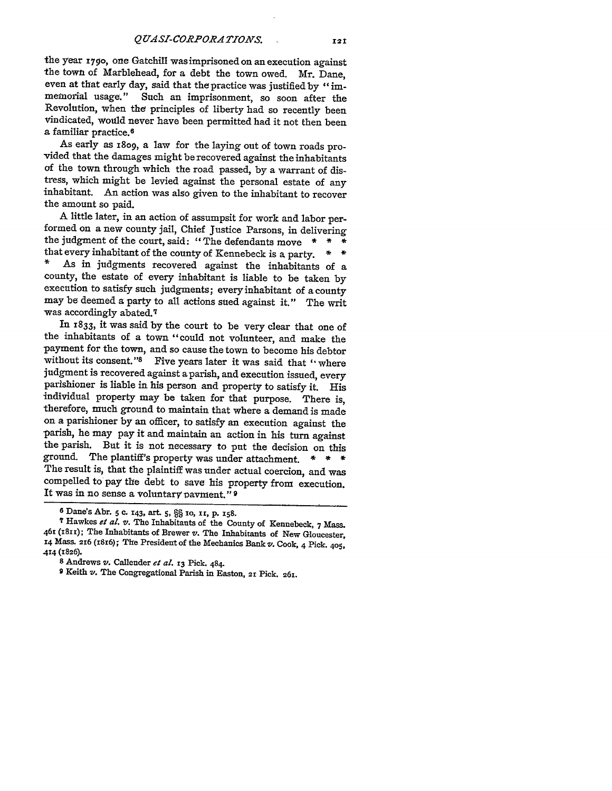the year **1790,** one Gatchill was imprisoned on an execution against the town of Marblehead, for a debt the town owed. Mr. Dane, even at that early day, said that the practice was justified **by** "immemorial usage." Such an imprisonment, so soon after the Revolution, when the principles of liberty had so recently been vindicated, would never have been permitted had it not then been a familiar practice. <sup>6</sup>

As early as i8o9, a law for the laying out of town roads provided that the damages might be recovered against the inhabitants of the town through which the road passed, **by** a warrant of distress, which might be levied against the personal estate of any inhabitant. An action was also given to the inhabitant to recover the amount so paid.

A little later, in an action of assumpsit for work and labor per- formed on a new county jail, Chief Justice Parsons, in delivering the judgment of the court, said: "The defendants move \* \* \*<br>that every inhabitant of the county of Kennebeck is a party. \* \*<br>\* As in judgments recovered against the inhabitants of a

county, the estate of every inhabitant is liable to be taken by execution to satisfy such judgments; every inhabitant of a county may be deemed a party to all actions sued against it." The writ was accordingly abated.7

In 1833, it was said **by** the court to be very clear that one of the inhabitants of a town "could not volunteer, and make the payment for the town, and so cause the town to become his debtor without its consent."<sup>8</sup> Five years later it was said that "where judgment is recovered against a parish, and execution issued, every parishioner is liable in his person and property to satisfy it. **His** individual property may be taken for that purpose. There is, therefore, much ground to maintain that where a demand is made on a parishioner **by** an officer, to satisfy an execution against the parish, he may pay it and maintain an action in his turn against the parish. But it is not necessary to put the decision on this ground. The plantiff's property was under attachment. **\* \* \*** The result is, that the plaintiff was under actual coercion, and was compelled to pay the debt to save his property from execution. It was in no sense a voluntary pavment." **9**

**<sup>6</sup>** Dane's Abr. 5 c. **143,** art. **5, § io,** it, p. **158.**

**<sup>7</sup> Hawkes** *et al. v***. The Inhabitants of the County of Kennebeck, 7 Mass. <sup>461</sup>**(i8xi); The Inhabitants of Brewer v. The Inhabitants of New Gloucester, **<sup>14</sup>**Mass. **2z6** (i816); The President of the Mechanics Bank v. **Cook,** 4 Pick. **405, 414** (1826).

<sup>8</sup> Andrews v. Callender *et* al. r3 Pick. 484.

**<sup>9</sup>** Keith v. The Congregational Parish in Easton, 2r Pick. **261.**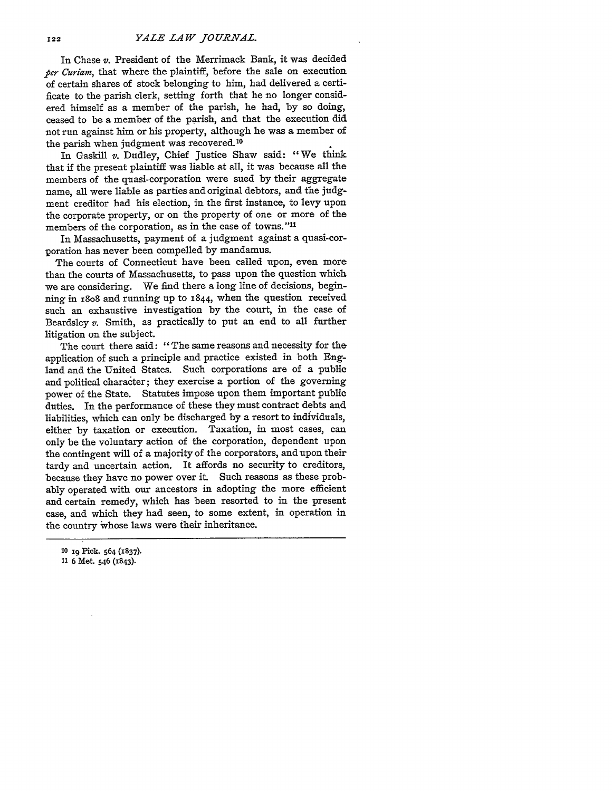In Chase v. President of the Merrimack Bank, it was decided *per Curiam*, that where the plaintiff, before the sale on execution of certain shares of stock belonging to him, had delivered a certificate to the parish clerk, setting forth that he no longer considered himself as a member of the parish, he had, by so doing, ceased to be a member of the parish, and that the execution did not run against him or his property, although he was a member of the parish when judgment was recovered.<sup>10</sup>

In Gaskill v. Dudley, Chief Justice Shaw said: "We think that **if** the present plaintiff was liable at all, it was because all the members of the quasi-corporation were sued by their aggregate name, all were liable as parties and original debtors, and the judgment creditor had his election, in the first instance, to levy upon the corporate property, or on the property of one or more of the members of the corporation, as in the case of towns."<sup>11</sup>

In Massachusetts, payment of a judgment against a quasi-corporation has never been compelled **by** mandamus.

The courts of Connecticut have been called upon, even more than the courts of Massachusetts, to pass upon the question which we are considering. We find there a long line of decisions, beginning in x8o8 and running up to 1844, when the question received such an exhaustive investigation **by** the court, in the case of Beardsley *v.* Smith, as practically to put an end to all further litigation on the subject.

The court there said: "The same reasons and necessity for the application of such a principle and practice existed in both England and the United States. Such corporations are of a public and political character; they exercise a portion of the governing power of the State. Statutes impose upon them important public duties. In the performance of these they must contract debts and liabilities, which can only be discharged by a resort to individuals, either by taxation or execution. Taxation, in most cases, can only be the voluntary action of the corporation, dependent upon the contingent will of a majority of the corporators, and upon their tardy and uncertain action. It affords no security to creditors, because they have no power over it. Such reasons as these probably operated with our ancestors in adopting the more efficient and certain remedy, which has been resorted to in the present case, and which they had seen, to some extent, in operation in the country whose laws were their inheritance.

**<sup>10</sup><sup>19</sup>**Pick. 564 (1837).

**<sup>11</sup>** 6 Met. 546 (1843).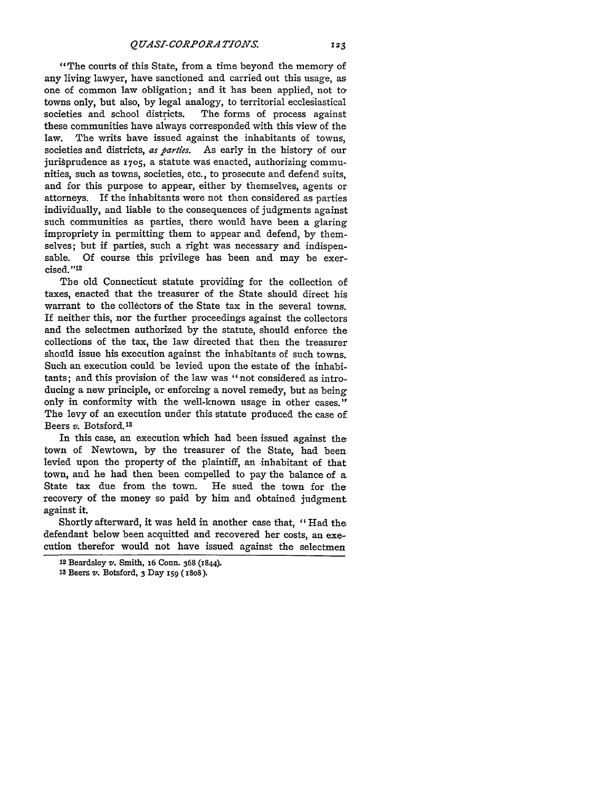"The courts of this State, from a time beyond the memory of any living lawyer, have sanctioned and carried out this usage, as one of common law obligation; and it has been applied, not to, towns only, but also, by legal analogy, to territorial ecclesiastical societies and school districts. The forms of process against these communities have always corresponded with this view of the law. The writs have issued against the inhabitants of towns, societies and districts, *as parties*. As early in the history of our jurisprudence as 1705, a statute was enacted, authorizing communities, such as towns, societies, etc., to prosecute and defend suits, and for this purpose to appear, either by themselves, agents or attorneys. If the inhabitants were not then considered as parties individually, and liable to the consequences of judgments against such communities as parties, there would have been a glaring impropriety in permitting them to appear and defend, by themselves; but if parties, such a right was necessary and indispensable. Of course this privilege has been and may be exercised. "

The old Connecticut statute providing for the collection of taxes, enacted that the treasurer of the State should direct his warrant to the collectors of the State tax in the several towns. If neither this, nor the further proceedings against the collectors and the selectmen authorized by the statute, should enforce the collections of the tax, the law directed that then the treasurer should issue his execution against the inhabitants of such towns. Such an execution could be levied upon the estate of the inhabitants; and this provision of the law was "not considered as introducing a new principle, or enforcing a novel remedy, but as being only in conformity with the well-known usage in other cases.'" The levy of an execution under this statute produced the case of Beers *v.* Botsford. <sup>13</sup>

In this case, an execution which had been issued against the town of Newtown, **by** the treasurer of the State, had been levied upon the property of the plaintiff, an inhabitant of that town, and he had then been compelled to pay the balance of *a* State tax due from the town. He sued the town for the recovery of the money so paid by him and obtained judgment against it.

Shortly afterward, it was held in another case that, "Had the defendant below been acquitted and recovered her costs, an execution therefor would not have issued against the selectmen

<sup>12</sup> Beardsley v. Smith, 16 Conn. 368 (1844).

<sup>13</sup> Beers *v*. Botsford, 3 Day 159 (1808).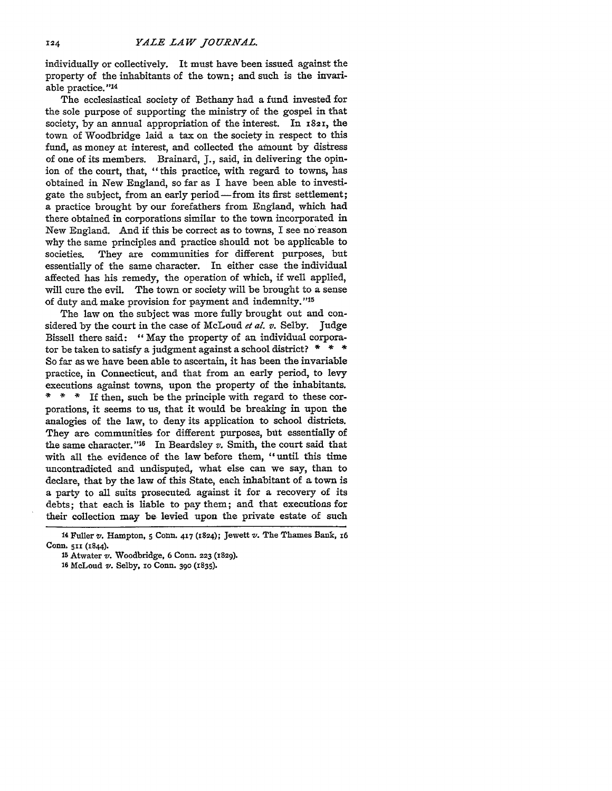individually or collectively. It must have been issued against the property of the inhabitants of the town; and such is the invariable practice."<sup>14</sup>

The ecclesiastical society of Bethany had a fund invested for the sole purpose of supporting the ministry of the gospel in that society, **by** an annual appropriation of the interest. In **1821,** the town of Woodbridge laid a tax on the society in respect to this fund, as money at interest, and collected the amount **by** distress of one of its members. Brainard, J., said, in delivering the opinion of the court, that, "this practice, with regard to towns, has obtained in New England, so far as I have been able to investigate the subject, from an early period—from its first settlement; a practice brought by our forefathers from England, which had there obtained in corporations similar to the town incorporated in New England. And if this be correct as to towns, I see no'reason why the same principles and practice should not be applicable to societies. They are communities for different purposes, but essentially of the same character. In either case the individual affected has his remedy, the operation of which, if well applied, will cure the evil. The town or society will be brought to a sense of duty and make provision for payment and indemnity.'15

The law on the subject was more fully brought out and considered by the court in the case of McLoud *et al. v.* Selby. Judge Bissell there said: "May the property of an individual corporator be taken to satisfy a judgment against a school district? **\* \* \*** So far as we have been able to ascertain, it has been the invariable practice, in Connecticut, and that from an early period, to levy executions against towns, upon the property of the inhabitants. **\* \* \*** If then, such be the principle with regard to these corporations, it seems to us, that it would be breaking in upon the analogies of the law, to deny its application to school districts. They are communities for different purposes, but essentially of the same character."<sup>16</sup> In Beardsley  $v$ . Smith, the court said that with all the evidence of the law before them, "until this time uncontradicted and undisputed, what else can we say, than to declare, that by the law of this State, each inhabitant of a town is a party to all suits prosecuted against it for a recovery of its debts; that each is liable to pay them; and that executions for their collection may be levied upon the private estate of such

<sup>14</sup>Fuller v. Hampton, 5 Con. 417 **(1824);** Jewett v. The Thames Bank, **z6 CorM, 511** (1844).

**<sup>15</sup>**Atwater **v.** Woodbridge, 6 **Conn. 223 (1829).**

**<sup>16</sup>** McLoud v. Selby, io **Conn. 390 (1835).**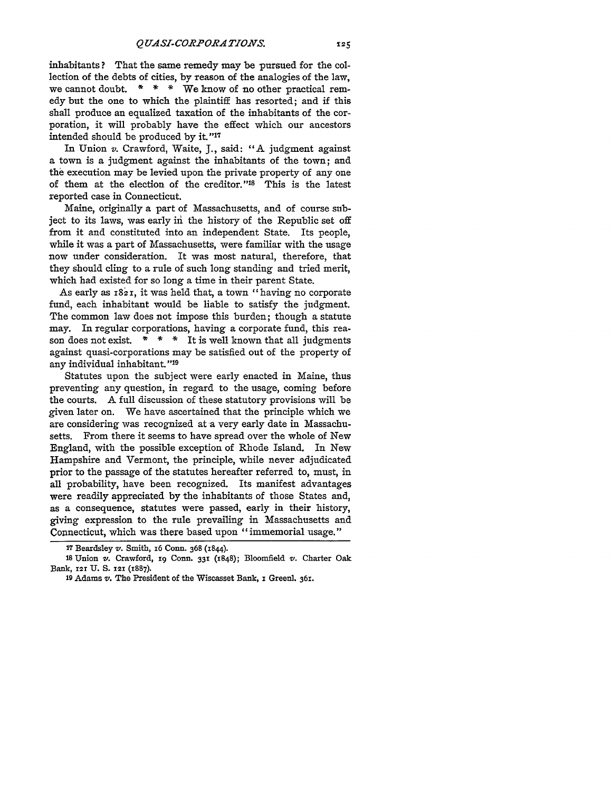inhabitants? That the same remedy may be pursued for the collection of the debts of cities, **by** reason of the analogies of the law, we cannot doubt. **\*** \* \* We know of no other practical remedy but the one to which the plaintiff has resorted; and if this shall produce an equalized taxation of the inhabitants of the corporation, it will probably have the effect which our ancestors intended should be produced **by it."17r**

In Union *v.* Crawford, Waite, **J.,** said: "A judgment against a town is a judgment against the inhabitants of the town; and the execution may be levied upon the private property of any one of them at the election of the creditor."<sup>18</sup> This is the latest reported case in Connecticut.

Maine, originally a part of Massachusetts, and of course subject to its laws, was early in the history of the Republic set off from it and constituted into an independent State. Its people, while it was a part of Massachusetts, were familiar with the usage now under consideration. It was most natural, therefore, that they should cling to a rule of such long standing and tried merit, which had existed for so long a time in their parent State.

As early as **182 i,** it was held that, a town "having no corporate fund, each inhabitant would be liable to satisfy the judgment. The common law does not impose this burden; though a statute may. In regular corporations, having a corporate fund, this reason does not exist. **\* \* \*** It is well known that all judgments against quasi-corporations may be satisfied out of the property of any individual inhabitant."<sup>19</sup>

Statutes upon the subject were early enacted in Maine, thus preventing any question, in regard to the usage, coming before the courts. A full discussion of these statutory provisions will be given later on. We have ascertained that the principle which we are considering was recognized at a very early date in Massachusetts. From there it seems to have spread over the whole of New England, with the possible exception of Rhode Island. In New Hampshire and Vermont, the principle, while never adjudicated prior to the passage of the statutes hereafter referred to, must, in all probability, have been recognized. Its manifest advantages were readily appreciated **by** the inhabitants of those States and, as a consequence, statutes were passed, early in their history, giving expression to the rule prevailing in Massachusetts and Connecticut, which was there based upon "immemorial usage."

**<sup>17</sup>**Beardsley v. Smith, i6 Conn. **368** (i844).

**<sup>18</sup>**Union v. Crawford, **i9** Conn. **331 (1848);** Bloomfield v. Charter Oak Bank, **121 U. S. 121 (1887).**

**<sup>19</sup>** Adams **v.** The President of the Wiscasset Bank, i Greenl. **361.**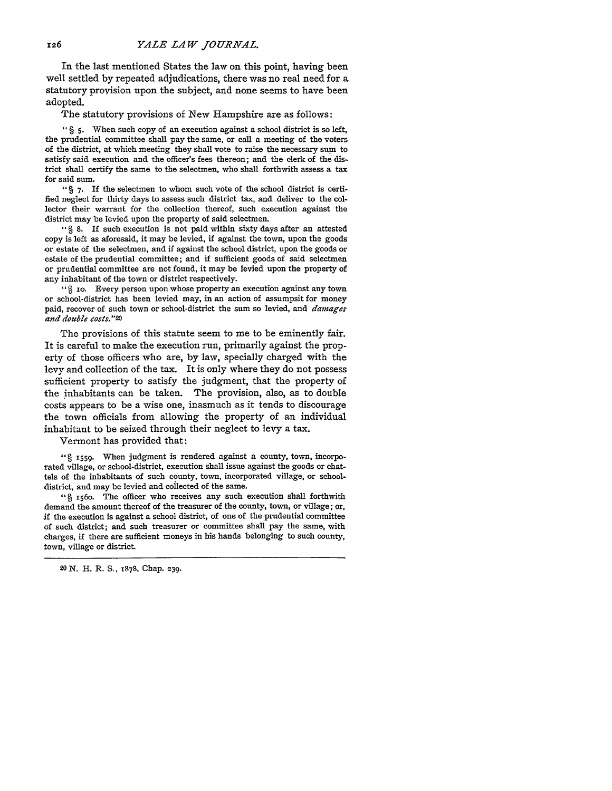In the last mentioned States the law on this point, having been well settled by repeated adjudications, there was no real need for a statutory provision upon the subject, and none seems to have been adopted.

The statutory provisions of New Hampshire are as follows:

**" § 5.** When such copy of an execution against a school district is so left, the prudential committee shall pay the same, or call a meeting of the voters of the district, at which meeting they shall vote to raise the necessary sum to satisfy said execution and the officer's fees thereon; and the clerk of the district shall certify the same to the selectmen, who shall forthwith assess a tax for said sum.

**" §** 7. If the selectmen to whom such vote of the school district is certified neglect for thirty days to assess such district tax, and deliver to the collector their warrant for the collection thereof, such execution against the district may be levied upon the property of said selectmen.

**"§** 8. If such execution is not paid within sixty days after an attested copy is left as aforesaid, it may be levied, if against the town, upon the goods or estate of the selectmen, and if against the school district, upon the goods or estate of the prudential committee; and if sufficient goods of said selectmen or prudential committee are not found, it may be levied upon the property of any inhabitant of the town or district respectively.

"§ io. Every person upon whose property an execution against any town or school-district has been levied may, in an action of assumpsit for money paid, recover of such town or school-district the sum so levied, and *damages and double costs.* **"2o**

The provisions of this statute seem to me to be eminently fair. It is careful to make the execution run, primarily against the property of those officers who are, by law, specially charged with the levy and collection of the tax. It is only where they do not possess sufficient property to satisfy the judgment, that the property of the inhabitants can be taken. The provision, also, as to double costs appears to be a wise one, inasmuch as it tends to discourage the town officials from allowing the property of an individual inhabitant to be seized through their neglect to levy a tax.

Vermont has provided that:

**"§ 1559.** When judgment is rendered against a county, town, incorpo-Tated village, or school-district, execution shall issue against the goods or chattels of the inhabitants of such county, town, incorporated village, or schooldistrict, and may be levied and collected of the same.

**"** 156o. The officer who receives any such execution shall forthwith demand the amount thereof of the treasurer of the county, town, or village; or, if the execution is against a school district, of one of the prudential committee of such district; and such treasurer or committee shall pay the same, with charges, if there are sufficient moneys in his hands belonging to such county, town, village or district.

**20** N. H. R. **S., 1878,** Chap. **239.**

I26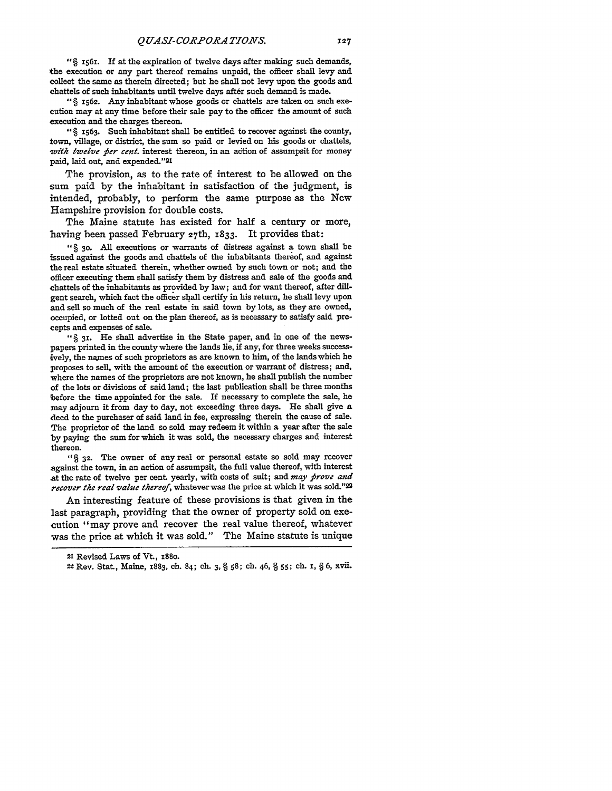*"§* **I56I.** If at the expiration of twelve days after making such demands, **the** execution or any part thereof remains unpaid, the officer shall levy and collect the same as therein directed; but he shall not levy upon the goods and chattels of such inhabitants until twelve days after such demand is made.

**"§ 1562.** Any inhabitant whose goods or chattels are taken on such execution may at any time before their sale pay to the officer the amount of such execution and the charges thereon.

**"§ 1563.** Such inhabitant shall be entitled to recover against the county, ±own, village, or district, the sum so paid or levied on his goods or chattels, *with twelve per cent*. interest thereon, in an action of assumpsit for money paid, laid out, and expended."21

The provision, as to the rate of interest to be allowed on the sum paid **by** the inhabitant in satisfaction of the judgment, is intended, probably, to perform the same purpose as the New Hampshire provision for double costs.

The Maine statute has existed for half a century or more, having been passed February 27th, 1833. It provides that:

" **30. All** executions or warrants of distress against a town shall be issued against the goods and chattels of the inhabitants thereof, and against the real estate situated therein, whether owned **by** such town or not; and the officer executing them shall satisfy them **by** distress and sale of the goods and chattels of the inhabitants as provided **by** law; and for want thereof, after diligent search, which fact the officer shall certify in his return, he shall levy upon and sell so much of the real estate in said town **by** lots, as they are owned, occupied, or lotted out on the plan thereof, as is necessary to satisfy said precepts and expenses of sale.

**"§ 31.** He shall advertise in the State paper, and in one of the newspapers printed in the county where the lands lie, if any, for three weeks successively, the names of such proprietors as are known to him, of the lands which he proposes to sell, with the amount of the execution or warrant of distress; and, where the names of the proprietors are not known, he shall publish the number of the lots or divisions of said land; the last publication shall be three months before the time appointed for the sale. If necessary to complete the sale, he may adjourn it from day to day, not exceeding three days. He shall give a deed to the purchaser of said land in fee, expressing therein the cause of sale. The proprietor of the land so sold may redeem it within a year after the sale **by** paying the sum for which it was sold, the necessary charges and interest thereon.

" **§ 32.** The owner of any real or personal estate so sold may recover against the town, in an action of assumpsit, the full value thereof, with interest at the rate of twelve per cent. yearly, with costs of suit; and *may prove and* recover the real value thereof, whatever was the price at which it was sold."<sup>22</sup>

An interesting feature of these provisions is that given in the last paragraph, providing that the owner of property sold on execution "may prove and recover the real value thereof, whatever was the price at which it was sold." The Maine statute is unique

**<sup>21</sup>**Revised Laws of Vt, i880.

**<sup>22</sup>** Rev. Stat, Maine, 1883, ch. 84; ch. **3, § 58;** ch. 46, **§ 55;** ch. **i,** § **6,** xvii.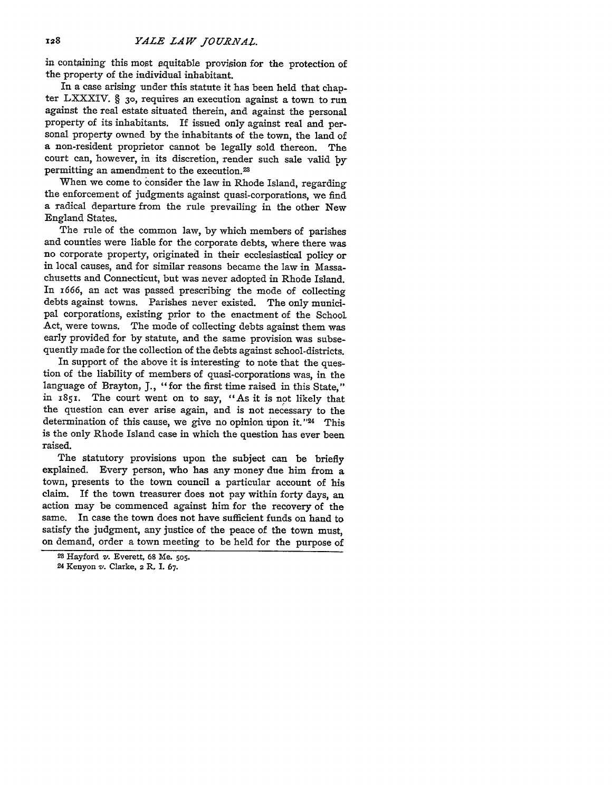in containing this most equitable provision for the protection of the property of the individual inhabitant.

In a case arising under this statute it has been held that chapter LXXXIV. § 3o, requires an execution against a town to run against the real estate situated therein, and against the personal property of its inhabitants. If issued only against real and personal property owned by the inhabitants of the town, the land of a non-resident proprietor cannot be legally sold thereon. The court can, however, in its discretion, render such sale valid **by** permitting an amendment to the execution.23

When we come to consider the law in Rhode Island, regarding the enforcement of judgments against quasi-corporations, we find a radical departure from the rule prevailing in the other New England States.

The rule of the common law, by which members of parishes and counties were liable for the corporate debts, where there was no corporate property, originated in their ecclesiastical policy or in local causes, and for similar reasons became the law in Massachusetts and Connecticut, but was never adopted in Rhode Island. In 1666, an act was passed prescribing the mode of collecting debts against towns. Parishes never existed. The only municipal corporations, existing prior to the enactment of the School Act, were towns. The mode of collecting debts against them was early provided for by statute, and the same provision was subsequently made for the collection of the debts against school-districts.

In support of the above it is interesting to note that the question of the liability of members of quasi-corporations was, in the language of Brayton, J., "for the first time raised in this State." in **1851.** The court went on to say, "As it is not likely that the question can ever arise again, and is not necessary to the determination of this cause, we give no opinion upon it. " $4$  This is the only Rhode Island case in which the question has ever been raised.

The statutory provisions upon the subject can be briefly explained. Every person, who has any money due him from a town, presents to the town council a particular account of his claim. If the town treasurer does not pay within forty days, an action may be commenced against him for the recovery of the same. In case the town does not have sufficient funds on hand to satisfy the judgment, any justice of the peace of the town must, on demand, order a town meeting to be held for the purpose of

**<sup>28</sup>**Hayford v. Everett, 68 Me. 5o5.

**<sup>24</sup>** Kenyon v. Clarke. **2** *R,* **I. 67.**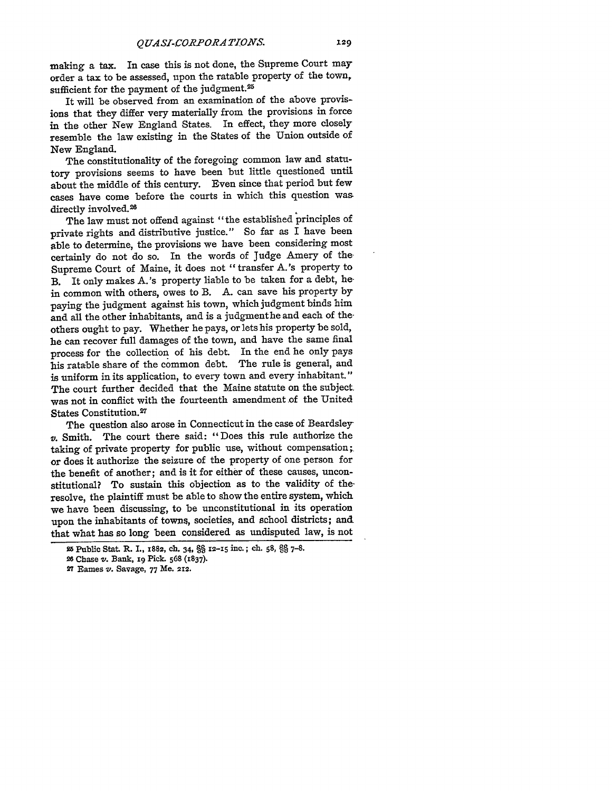making a tax. In case this is not done, the Supreme Court may order a tax to be assessed, upon the ratable property of the town, sufficient for the payment of the judgment.<sup>25</sup>

It will be observed from an examination of the above provisions that they differ very materially from the provisions in force in the other New England States. In effect, they more closely resemble the law existing in the States of the Union outside of New England.

The constitutionality of the foregoing common law and statutory provisions seems to have been but little questioned until about the middle of this century. Even since that period but few cases have come before the courts in which this question was directly involved.<sup>26</sup>

The law must not offend against "the established principles of private rights and distributive justice." So far as I have been able to determine, the provisions we have been considering most certainly do not do so. In the words of Judge Amery of the Supreme Court of Maine, it does not "transfer A.'s property to B. It only makes A.'s property liable to be taken for a debt, hein common with others, owes to B. A. can save his property by paying the judgment against his town, which judgment binds him and all the other inhabitants, and is a judgmenthe and each of theothers ought to pay. Whether he pays, or lets his property be sold, he can recover full damages of the town, and have the same final process for the collection of his debt. In the end he only pays his ratable share of the common debt. The rule is general, and is uniform in its application, to every town and every inhabitant." The court further decided that the Maine statute on the subject. was not in conflict with the fourteenth amendment of the United States Constitution.<sup>27</sup>

The question also arose in Connecticut in the case of Beardsley $v$ . Smith. The court there said: "Does this rule authorize the taking of private property for public use, without compensation; or does it authorize the seizure of the property of one person for the benefit of another; and is it for either of these causes, unconstitutional? To sustain this objection as to the validity of theresolve, the plaintiff must be able to show the entire system, which we have been discussing, to be unconstitutional in its operation upon the inhabitants of towns, societies, and school districts; and that what has so long been considered as undisputed law, is not

**<sup>25</sup>**Public Stat. R. **I., i882,** ch. 34, **§% x2-i5** inc.; ch. **58, §§ 7-8.**

**<sup>26</sup>**Chase v. Bank, **19** Pick. 568 (1837).

**<sup>27</sup>** Eames v. Savage, **77** Me. **212.**